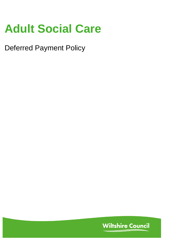# **Adult Social Care**

Deferred Payment Policy

**Wiltshire Council**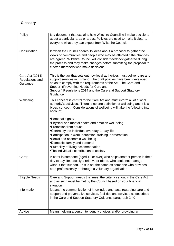## **Glossary**

| Policy                                         | Is a document that explains how Wiltshire Council will make decisions<br>about a particular area or areas. Policies are used to make it clear to<br>everyone what they can expect from Wiltshire Council.                                                                                                                                                                     |
|------------------------------------------------|-------------------------------------------------------------------------------------------------------------------------------------------------------------------------------------------------------------------------------------------------------------------------------------------------------------------------------------------------------------------------------|
| Consultation                                   | Is when the Council shares its ideas about a proposal to gather the<br>views of communities and people who may be affected if the changes<br>are agreed. Wiltshire Council will consider feedback gathered during<br>the process and may make changes before submitting the proposal to<br>elected members who make decisions.                                                |
| Care Act (2014)<br>Regulations and<br>Guidance | This is the law that sets out how local authorities must deliver care and<br>support services in England. The draft policies have been developed<br>so as to comply with the requirements of the Act, The Care and<br>Support (Preventing Needs for Care and<br>Support) Regulations 2014 and the Care and Support Statutory<br>Guidance                                      |
| Wellbeing                                      | This concept is central to the Care Act and must inform all of a local<br>authority's activities. There is no one definition of wellbeing and it is a<br>broad concept. Considerations of wellbeing will take the following into<br>account;                                                                                                                                  |
|                                                | •Personal dignity<br>. Physical and mental health and emotion well-being<br>•Protection from abuse<br>.Control by the individual over day-to-day life<br>•Participation in work, education, training, or recreation<br>•Social and economic well-being<br>•Domestic, family and personal<br>•Suitability of living accommodation<br>•The individual's contribution to society |
| Carer                                          | A carer is someone (aged 18 or over) who helps another person in their<br>day to day life, usually a relative or friend, who could not manage<br>without that support. This is not the same as someone who provides<br>care professionally or through a voluntary organisation                                                                                                |
| <b>Eligible Needs</b>                          | Care and Support needs that meet the criteria set out in the Care Act<br>and as such must be met by the Council based on your financial<br>situation                                                                                                                                                                                                                          |
| Information                                    | Means the communication of knowledge and facts regarding care and<br>support and preventative services, facilities and services as described<br>in the Care and Support Statutory Guidance paragraph 2.40                                                                                                                                                                     |
| Advice                                         | Means helping a person to identify choices and/or providing an                                                                                                                                                                                                                                                                                                                |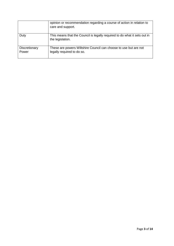|                        | opinion or recommendation regarding a course of action in relation to<br>care and support.     |
|------------------------|------------------------------------------------------------------------------------------------|
| Duty                   | This means that the Council is legally required to do what it sets out in<br>the legislation.  |
| Discretionary<br>Power | These are powers Wiltshire Council can choose to use but are not<br>legally required to do so. |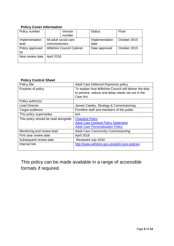## **Policy Cover Information**

| Policy number    | Version                          |  | <b>Status</b>  | Final        |
|------------------|----------------------------------|--|----------------|--------------|
|                  | number                           |  |                |              |
| Implementation   | All adult social care            |  | Implementation | October 2015 |
| lead             | commissioners                    |  | date           |              |
| Policy approved  | <b>Wiltshire Council Cabinet</b> |  | Date approved  | October 2015 |
| by               |                                  |  |                |              |
| Next review date | April 2018                       |  |                |              |
|                  |                                  |  |                |              |

## **Policy Control Sheet**

| Policy title                         | <b>Adult Care Deferred Payments policy</b>             |  |  |
|--------------------------------------|--------------------------------------------------------|--|--|
| Purpose of policy                    | To explain how Wiltshire Council will deliver the duty |  |  |
|                                      | to prevent, reduce and delay needs set out In the      |  |  |
|                                      | Care Act.                                              |  |  |
| Policy author(s)                     |                                                        |  |  |
| <b>Lead Director</b>                 | James Cawley, Strategy & Commissioning                 |  |  |
| Target audience                      | Frontline staff and members of the public              |  |  |
| This policy supersedes               | N/A                                                    |  |  |
| This policy should be read alongside | <b>Charging Policy</b>                                 |  |  |
|                                      | <b>Adult Care General Policy Statement</b>             |  |  |
|                                      | <b>Adult Care Personalisation Policy</b>               |  |  |
| Monitoring and review lead           | <b>Adult Care Community Commissioning</b>              |  |  |
| First year review date               | April 2018                                             |  |  |
| Subsequent review date               | Reviewed July 2020                                     |  |  |
| Internet link                        | http://www.wiltshire.gov.uk/adult-care-policies        |  |  |
|                                      |                                                        |  |  |

This policy can be made available in a range of accessible formats if required.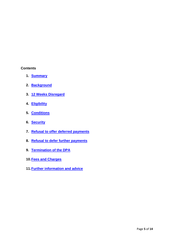#### **Contents**

- **1. Summary**
- **2. Background**
- **3. 12 Weeks Disregard**
- **4. Eligibility**
- **5. Conditions**
- **6. Security**
- **7. Refusal to offer deferred payments**
- **8. Refusal to defer further payments**
- **9. Termination of the DPA**
- **10.Fees and Charges**
- **11.Further information and advice**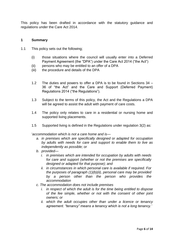This policy has been drafted in accordance with the statutory guidance and regulations under the Care Act 2014.

#### **1 Summary**

- 1.1 This policy sets out the following;
	- (i) those situations where the council will usually enter into a Deferred Payment Agreement (the "DPA") under the Care Act 2014 ("the Act")
	- (ii) persons who may be entitled to an offer of a DPA
	- (iii) the procedure and details of the DPA
	- 1.2 The duties and powers to offer a DPA is to be found in Sections 34 36 of "the Act" and the Care and Support (Deferred Payment) Regulations 2014 ("the Regulations").
	- 1.3 Subject to the terms of this policy, the Act and the Regulations a DPA will be agreed to assist the adult with payment of care costs.
	- 1.4 The policy only relates to care in a residential or nursing home and supported living placements.
	- 1.5 Supported living is defined in the Regulations under regulation 3(2) as:

'*accommodation which is not a care home and is—*

- *a. in premises which are specifically designed or adapted for occupation by adults with needs for care and support to enable them to live as independently as possible; or*
- *b. provided*
	- *i. in premises which are intended for occupation by adults with needs for care and support (whether or not the premises are specifically designed or adapted for that purpose); and*
	- *ii. in circumstances in which personal care is available if required. For the purposes of paragraph (1)(b)(ii), personal care may be provided by a person other than the person who provides the accommodation*
- *c. The accommodation does not include premises* 
	- *i. in respect of which the adult is for the time being entitled to dispose of the fee simple, whether or not with the consent of other joint owners; or*
	- *ii. which the adult occupies other than under a licence or tenancy agreement. "tenancy" means a tenancy which is not a long tenancy.'*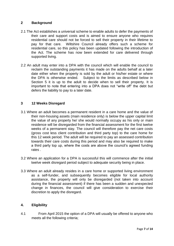#### **2 Background**

- 2.1 The Act establishes a universal scheme to enable adults to defer the payments of their care and support costs and is aimed to ensure anyone who requires residential care should not be forced to sell their property in their lifetime to pay for that care. Wiltshire Council already offers such a scheme for residential care, so this policy has been updated following the introduction of the Act. The scheme has now been extended for care delivered through supported living.
- 2.2 An adult may enter into a DPA with the council which will enable the council to reclaim the outstanding payments it has made on the adults behalf at a later date either when the property is sold by the adult or his/her estate or where the DPA is otherwise ended. Subject to the limits as described below in Section 5 it is up to the adult to decide when to sell their property. It is important to note that entering into a DPA does not "write off" the debt but defers the liability to pay to a later date.

#### **3 12 Weeks Disregard**

- 3.1 Where an adult becomes a permanent resident in a care home and the value of their non-housing assets (main residence only) is below the upper capital limit the value of any property he/ she would normally occupy as his only or main residence will be disregarded from the financial assessment for the first twelve weeks of a permanent stay. The council will therefore pay the net care costs (gross cost less client contribution and third party top) to the care home for this 12 week period. The adult will be required to pay an assessed contribution towards their care costs during this period and may also be required to make a third party top up, where the costs are above the council's agreed funding rates .
- 3.2 Where an application for a DPA is successful this will commence after the initial twelve week disregard period subject to adequate security being in place.
- 3.3 Where an adult already resides in a care home or supported living environment as a self-funder, and subsequently becomes eligible for local authority assistance, the property will only be disregarded (not taken into account during the financial assessment) if there has been a sudden and unexpected change in finances, the council will give consideration to exercise their discretion to apply the disregard.

#### **4. Eligibility**

4.1 From April 2015 the option of a DPA will usually be offered to anyone who meets all the following criteria;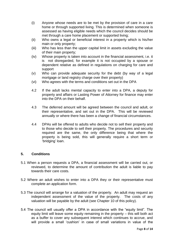- (i) Anyone whose needs are to be met by the provision of care in a care home or through supported living. This is determined when someone is assessed as having eligible needs which the council decides should be met through a care home placement or supported living;
- (ii) Who owns a legal or beneficial interest in a property which is his/her main or only property;
- (iii) Who has less than the upper capital limit in assets excluding the value of their main property;
- (iv) Whose property is taken into account in the financial assessment, i.e. it is not disregarded, for example it is not occupied by a spouse or dependent relative as defined in regulations on charging for care and support
- (v) Who can provide adequate security for the debt (by way of a legal mortgage or land registry charge over their property)
- (vi) Who agrees with the terms and conditions set out in the DPA
- 4.2 If the adult lacks mental capacity to enter into a DPA, a deputy for property and affairs or Lasting Power of Attorney for finance may enter into the DPA on their behalf.
- 4.3 The deferred amount will be agreed between the council and adult, or their representative, and set out in the DPA. This will be reviewed annually or where there has been a change of financial circumstances.
- 4.4 DPAs will be offered to adults who decide not to sell their property and to those who decide to sell their property. The procedures and security required are the same, the only difference being that where the property is being sold, this will generally require a short term or 'bridging' loan.

#### **5. Conditions**

- 5.1 When a person requests a DPA, a financial assessment will be carried out, or reviewed, to determine the amount of contribution the adult is liable to pay towards their care costs.
- 5.2 Where an adult wishes to enter into a DPA they or their representative must complete an application form.
- 5.3 The council will arrange for a valuation of the property. An adult may request an independent assessment of the value of the property. The costs of any valuation will be payable by the adult (see Chapter 10 of this policy).
- 5.4 The council will usually offer a DPA in accordance with the "equity limit". The equity limit will leave some equity remaining in the property – this will both act as a buffer to cover any subsequent interest which continues to accrue, and will provide a small 'cushion' in case of small variations in value of the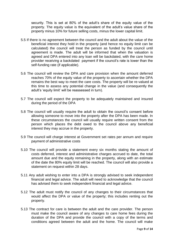security. This is set at 80% of the adult's share of the equity value of the property. The equity value is the equivalent of the adult's value share of the property minus 10% for future selling costs, minus the lower capital limit.

- 5.5 If there is no agreement between the council and the adult about the value of the beneficial interest they hold in the property (and hence no equity limit can be calculated) the council will treat the person as funded by the council until agreement is made. The adult will be informed that when the valuation is agreed and DPA entered into any loan will be backdated, with the care home provider receiving a backdated payment if the council's rate is lower than the self-funding rate (if applicable).
- 5.6 The council will review the DPA and care provision when the amount deferred reaches 70% of the equity value of the property to ascertain whether the DPA remains the best way to meet the care costs. The property will be re-valued at this time to assess any potential change in the value (and consequently the adult's 'equity limit' will be reassessed in turn).
- 5.7 The council will expect the property to be adequately maintained and insured during the period of the DPA
- 5.8 The council will usually require the adult to obtain the council's consent before allowing someone to move into the property after the DPA has been made. In these circumstances the council will usually require written consent from the person which places the debt owed to the council above any beneficial interest they may accrue in the property.
- 5.9 The council will charge interest at Government set rates per annum and require payment of administrative costs
- 5.10 The council will provide a statement every six months stating the amount of costs deferred, interest and administrative charges accrued to date, the total amount due and the equity remaining in the property, along with an estimate of the date the 80% equity limit will be reached. The council will also provide a statement on request within 28 days.
- 5.11 Any adult wishing to enter into a DPA is strongly advised to seek independent financial and legal advice. The adult will need to acknowledge that the council has advised them to seek independent financial and legal advice.
- 5.12 The adult must notify the council of any changes to their circumstances that would affect the DPA or value of the property; this includes renting out the property.
- 5.13 The contract for care is between the adult and the care provider. The person must make the council aware of any changes to care home fees during the duration of the DPA and provide the council with a copy of the terms and conditions agreed between the adult and the home. The council will make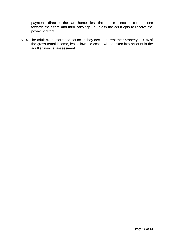payments direct to the care homes less the adult's assessed contributions towards their care and third party top up unless the adult opts to receive the payment direct.

5.14 The adult must inform the council if they decide to rent their property. 100% of the gross rental income, less allowable costs, will be taken into account in the adult's financial assessment.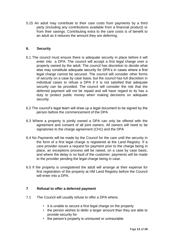5.15 An adult may contribute to their care costs from payments by a third party (including any contributions available from a financial product) or from their savings. Contributing extra to the care costs is of benefit to an adult as it reduces the amount they are deferring.

### **6. Security**

- 6.1 The council must ensure there is adequate security in place before it will enter into a DPA. The council will accept a first legal charge over a property owned by the adult. The council has discretion to decide what else may constitute adequate security for DPA's in cases where a first legal charge cannot be secured. The council will consider other forms of security on a case by case basis, but the council has full discretion in individual cases to refuse a DPA if it is not satisfied that adequate security can be provided. The council will consider the risk that the deferred payment will not be repaid and will have regard to its has a duty to protect public money when making decisions on adequate security.
- 6.2 The council's legal team will draw up a legal document to be signed by the person before the commencement of the DPA
- 6.3 Where a property is jointly owned a DPA can only be offered with the agreement and consent of all joint owners. All owners will need to be signatories to the charge agreement (CH1) and the DPA
- 6.4 No Payments will be made by the Council for the care until the security in the form of a first legal charge is registered at the Land Registry. If a care provider issues a request for payment prior to the charge being in place, an exceptions process will be raised, on a case by case basis, and where the delay is no fault of the customer, payments will be made to the provider pending the legal charge being in case.
- 6.5 If the property is unregistered the adult will arrange at their expense for first registration of the property at HM Land Registry before the Council will enter into a DPA.

#### **7 Refusal to offer a deferred payment**

- 7.1 The Council will usually refuse to offer a DPA where;
	- it is unable to secure a first legal charge on the property
	- the person wishes to defer a larger amount than they are able to provide security for
	- the person's property is uninsured or uninsurable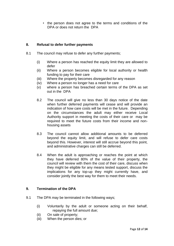• the person does not agree to the terms and conditions of the DPA or does not return the DPA

## **8. Refusal to defer further payments**

- 8.1 The council may refuse to defer any further payments;
	- (i) Where a person has reached the equity limit they are allowed to defer
	- (ii) Where a person becomes eligible for local authority or health funding to pay for their care
	- (iii) Where the property becomes disregarded for any reason
	- (iv) Where a person no longer has a need for care
	- (v) where a person has breached certain terms of the DPA as set out in the DPA
	- 8.2 The council will give no less than 30 days notice of the date when further deferred payments will cease and will provide an indication of how care costs will be met in the future. Depending on the circumstances the adult may either receive Local Authority support in meeting the costs of their care or may be required to meet the future costs from their income and nonhousing assets
	- 8.3 The council cannot allow additional amounts to be deferred beyond the equity limit, and will refuse to defer care costs beyond this. However, interest will still accrue beyond this point, and administrative charges can still be deferred.
	- 8.4 When the adult is approaching or reaches the point at which they have deferred 80% of the value of their property, the council will review with them the cost of their care, discuss when they might be eligible for any means tested support, discuss the implications for any top-up they might currently have, and consider jointly the best way for them to meet their needs.

## **9. Termination of the DPA**

- 9.1 The DPA may be terminated in the following ways;
	- (i) Voluntarily by the adult or someone acting on their behalf, repaying the full amount due;
	- (ii) On sale of property;
	- (iii) When the person dies; or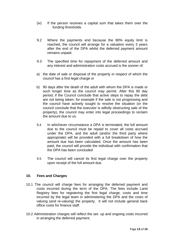- (iv) If the person receives a capital sum that takes them over the funding thresholds
- 9.2 Where the payments end because the 80% equity limit is reached, the council will arrange for a valuation every 3 years after the end of the DPA whilst the deferred payment amount remains unpaid.
- 9.3 The specified time for repayment of the deferred amount and any interest and administration costs accrued is the sooner of:
- a) the date of sale or disposal of the property in respect of which the council has a first legal charge or
- b) 90 days after the death of the adult with whom the DPA is made or such longer time as the council may permit. After this 90 day period, if the Council conclude that active steps to repay the debt are not being taken, for example if the sale is not progressing and the council have actively sought to resolve the situation (or the council conclude that the executor is wilfully obstructing sale of the property), the council may enter into legal proceedings to reclaim the amount due to us.
- 9.4 In whichever circumstance a DPA is terminated, the full amount due to the council must be repaid to cover all costs accrued under the DPA, and the adult (and/or the third party where appropriate) will be provided with a full breakdown of how the amount due has been calculated. Once the amount has been paid, the council will provide the individual with confirmation that the DPA has been concluded
- 9.5 The council will cancel its first legal charge over the property upon receipt of the full amount due.

#### **10. Fees and Charges**

- 10.1 The council will charge fees for arranging the deferred payment and costs incurred during the term of the DPA. The fees include Land Registry fees for registering the first legal charge, costs and time incurred by the legal team in administering the DPA and the costs of valuing (and re-valuing) the property. It will not include general back office costs for finance staff.
- 10.2 Administration charges will reflect the set- up and ongoing costs incurred in arranging the deferred payment.